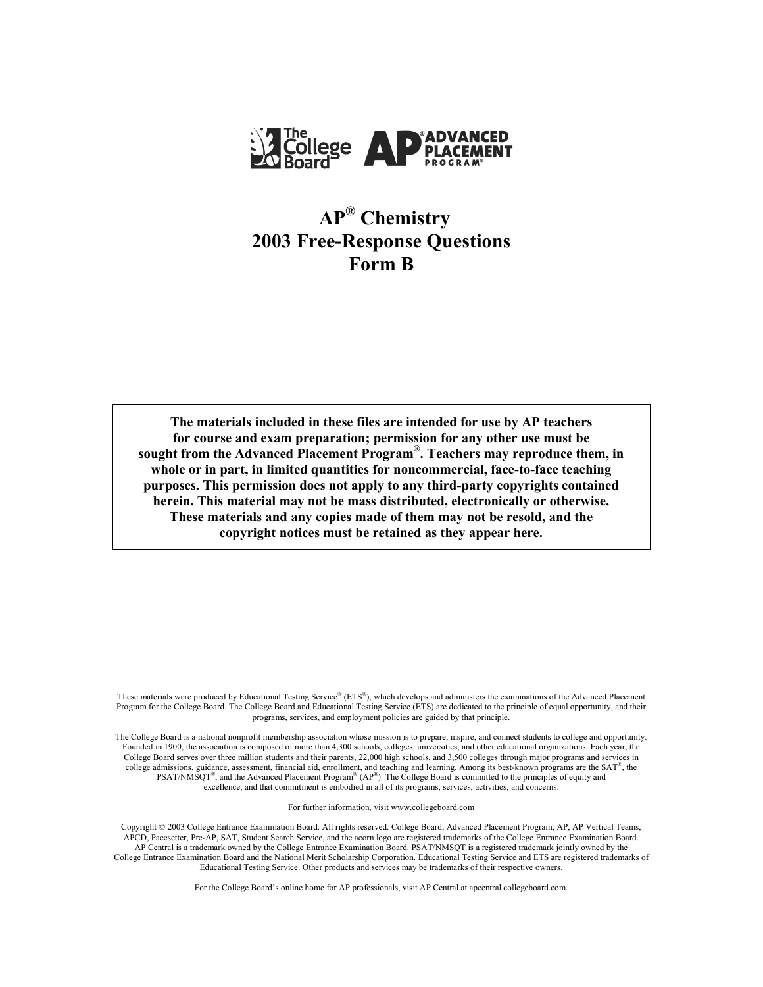

# **AP® Chemistry 2003 Free-Response Questions Form B**

**The materials included in these files are intended for use by AP teachers for course and exam preparation; permission for any other use must be sought from the Advanced Placement Program®. Teachers may reproduce them, in whole or in part, in limited quantities for noncommercial, face-to-face teaching purposes. This permission does not apply to any third-party copyrights contained herein. This material may not be mass distributed, electronically or otherwise. These materials and any copies made of them may not be resold, and the copyright notices must be retained as they appear here.** 

These materials were produced by Educational Testing Service® (ETS®), which develops and administers the examinations of the Advanced Placement Program for the College Board. The College Board and Educational Testing Service (ETS) are dedicated to the principle of equal opportunity, and their programs, services, and employment policies are guided by that principle.

The College Board is a national nonprofit membership association whose mission is to prepare, inspire, and connect students to college and opportunity. Founded in 1900, the association is composed of more than 4,300 schools, colleges, universities, and other educational organizations. Each year, the College Board serves over three million students and their parents, 22,000 high schools, and 3,500 colleges through major programs and services in college admissions, guidance, assessment, financial aid, enrollment, and teaching and learning. Among its best-known programs are the  $SAT^{\circ}$ , the PSAT/NMSQT<sup>®</sup>, and the Advanced Placement Program<sup>®</sup> (AP<sup>®</sup>). The College Board is committed to the principles of equity and excellence, and that commitment is embodied in all of its programs, services, activities, and concerns.

For further information, visit www.collegeboard.com

Copyright © 2003 College Entrance Examination Board. All rights reserved. College Board, Advanced Placement Program, AP, AP Vertical Teams, APCD, Pacesetter, Pre-AP, SAT, Student Search Service, and the acorn logo are registered trademarks of the College Entrance Examination Board. AP Central is a trademark owned by the College Entrance Examination Board. PSAT/NMSQT is a registered trademark jointly owned by the College Entrance Examination Board and the National Merit Scholarship Corporation. Educational Testing Service and ETS are registered trademarks of Educational Testing Service. Other products and services may be trademarks of their respective owners.

For the College Board's online home for AP professionals, visit AP Central at apcentral.collegeboard.com.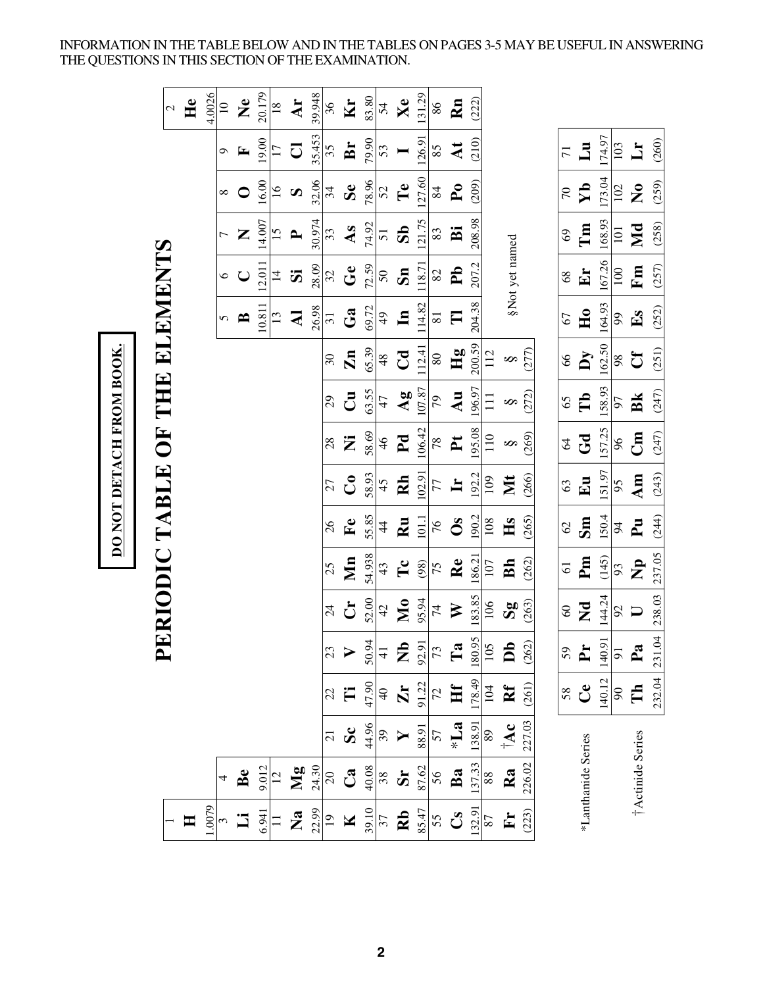INFORMATION IN THE TABLE BELOW AND IN THE TABLES ON PAGES 3-5 MAY BE USEFUL IN ANSWERING THE QUESTIONS IN THIS SECTION OF THE EXAMINATION.

|                    |                     |                         |                         |                                                             |                           |                |                        |               | DO NOT DETACH FROM BOOK.      |                        |                  |                     |                 |                         |                        |                         |                      |
|--------------------|---------------------|-------------------------|-------------------------|-------------------------------------------------------------|---------------------------|----------------|------------------------|---------------|-------------------------------|------------------------|------------------|---------------------|-----------------|-------------------------|------------------------|-------------------------|----------------------|
|                    |                     |                         |                         | $\blacktriangle$                                            |                           |                |                        |               | ERIODIC TABLE OF THE ELEMENTS |                        |                  |                     |                 |                         |                        |                         |                      |
|                    |                     |                         |                         |                                                             |                           |                |                        |               |                               |                        |                  |                     |                 |                         |                        |                         | $\mathcal{L}$        |
| H                  |                     |                         |                         |                                                             |                           |                |                        |               |                               |                        |                  |                     |                 |                         |                        |                         | He                   |
| 1.0079             |                     |                         |                         |                                                             |                           |                |                        |               |                               |                        |                  |                     |                 |                         |                        |                         | 4.0026               |
|                    | 4                   |                         |                         |                                                             |                           |                |                        |               |                               |                        |                  | 5                   | $\circ$         |                         |                        | $\sigma$                | $\overline{10}$      |
| <u>:5</u>          | Be                  |                         |                         |                                                             |                           |                |                        |               |                               |                        |                  | $\mathbf{B}$        | $\bigcup$       | Z                       | $\bullet$              | $\mathbf{r}$            | $\tilde{\mathbf{z}}$ |
|                    | 9.012               |                         |                         |                                                             |                           |                |                        |               |                               |                        |                  | 10.811              | 12.011          | 14.007                  | 16.00                  | 19.00                   | 20.179               |
| $\frac{6.941}{11}$ |                     |                         |                         |                                                             |                           |                |                        |               |                               |                        |                  | 13                  | $\overline{4}$  | $\overline{15}$         | $\overline{6}$         | $\overline{17}$         | $\frac{18}{1}$       |
| $\mathbf{z}$       | Mg                  |                         |                         |                                                             |                           |                |                        |               |                               |                        |                  | $\mathbf{z}$        | $\ddot{\bm{z}}$ | $\mathbf{r}$            | $\boldsymbol{\omega}$  | $\overline{C}$          | Ar                   |
| 22.99              | 24.30               |                         |                         |                                                             |                           |                |                        |               |                               |                        |                  | 26.98               | 28.09           | 30.974                  | 32.06                  | 35.453                  | 39.948               |
| $\overline{19}$    | $\mathfrak{S}$      | $\overline{21}$         | 22                      |                                                             | $\overline{24}$           | 25             | 26                     | 27            | 28                            | $\overline{29}$        | $30\,$           | $\overline{31}$     | 32              | 33                      | 34                     | 35                      | 36                   |
| $\mathbf K$        | $\mathbf{C}$ a      | $\overline{\mathbf{s}}$ | Ë                       | $\frac{23}{2}$                                              | $\mathbf{C}$              | Mn             | $\mathbf{F}$ e         | $\mathcal{S}$ | Ż                             | $\mathbf{C}$           | $\mathbf{Zn}$    | Ga                  | $\mathbf{G}$ e  | As                      | $S_{e}$                | Br                      | $\mathbf{K}$ r       |
| 39.10              |                     |                         | 47.90                   |                                                             | 52.00                     | 54.938         | 55.85                  | 58.93         | 58.69                         | 63.55                  | 65.39            | 69.72               | 72.59           | 74.92                   | 78.96                  | 79.90                   | 83.80                |
| $\overline{37}$    | $\frac{40.08}{38}$  | $\frac{44.96}{39}$      | $\frac{1}{4}$           |                                                             | 42                        | 43             | $\frac{4}{4}$          | 45            | 46                            | 47                     | $48$             | $\frac{4}{9}$       | $50\,$          | $\overline{51}$         | 52                     | 53                      | 54                   |
| $\mathbf{R}$       | $\mathbf{S}$        |                         | $\mathbf{Zr}$           | $rac{50.94}{41}$<br><b>E</b> $rac{92.91}{72}$<br><b>E</b> a | <b>No</b>                 | $\mathbf{T}$ c | $\mathbf{R}\mathbf{u}$ | Rh            | P <sub>d</sub>                | $\mathbf{A}\mathbf{g}$ | $C_{\mathbf{d}}$ | $\mathbf{u}$        | $\mathbf{s}_n$  | $\overline{\mathbf{S}}$ | Te                     |                         | Xe                   |
| 85.47              | 87.62               | 88.91                   | 91.22                   |                                                             | 95.94                     | (98)           | 1011                   | 102.91        | 106.42                        | 107.87                 | 112.41           | 114.82              | 118.71          | 121.75                  | 127.60                 | 126.91                  | 131.29               |
| 55                 | 56                  | 57                      | $\mathcal{L}$           |                                                             | 74                        | 75             | 76                     | 77            | $78$                          | 56                     | $\rm 80$         | $\overline{\bf 81}$ | $82\,$          | 83                      | 84                     | 85                      | 86                   |
| $\mathbf{C}$       | Ba                  | $\sum_{i=1}^{n}$        | Hf                      |                                                             | $\triangleright$          | Re             | $\mathbf{0}$ s         | $\mathbf{H}$  | $\mathbf{P}$                  | Au                     | Hg               | $\Box$              | $\mathbf{P}$    | Ä                       | ${\bf P0}$             | $\overline{\mathbf{A}}$ | Rn                   |
| 132.91             | $\frac{137.33}{88}$ | 138.91                  | 178.49                  |                                                             | 183.85                    | 186.2          | 190.2                  | 192.2         | 195.08                        | 196.97                 | 200.59           | 204.38              | 207.2           | 208.98                  | (209)                  | (210)                   | (222)                |
| 87                 |                     | 89                      | 104                     | $\frac{180.95}{105}$                                        | 106                       | 107            | 108                    | 109           | 110                           | $\Xi$                  | 112              |                     |                 |                         |                        |                         |                      |
| $\mathbf{F}$       | Ra                  | $\mathbf{\dot{A}c}$     | $\mathbf{R} \mathbf{f}$ | $\overline{\mathsf{D}}$                                     | $\mathbf{S}^{\mathbf{g}}$ | Bh             | Hs                     | Nt            | $\infty$                      | $\infty$               | $\infty$         |                     | §Not yet named  |                         |                        |                         |                      |
| (223)              | 226.02              | 227.03                  | (261)                   | (262)                                                       | (263)                     | (262)          | (265)                  | (266)         | (269)                         | (272)                  | (277)            |                     |                 |                         |                        |                         |                      |
|                    |                     |                         |                         |                                                             |                           |                |                        |               |                               |                        |                  |                     |                 |                         |                        |                         |                      |
|                    |                     |                         | 58                      | 59                                                          | $\overline{60}$           | $\overline{5}$ | $\mathcal{O}$          | 63            | $\mathcal{L}$                 | 65                     | 8 <sup>o</sup>   | 67                  | 8 <sup>9</sup>  | 69                      | $\overline{C}$         | $\overline{7}$          |                      |
| *Lanthanide Series |                     |                         | $\mathbf{C}$            | È                                                           | $\mathbf{z}$              | Pm             | Sm                     | Eu            | Gd                            | $\mathbf{T}$           | $\mathbf{y}$     | H <sub>0</sub>      | Er              | $\Gamma$ m              | $\mathbf{Y}$           | Lu                      |                      |
|                    |                     |                         | 140.12                  | 140.91                                                      | 144.24                    | (145)          | 150.4                  | 151.97        | 157.25                        | 158.93                 | 162.50           | 164.93              | 167.26          | 168.93                  | 173.04                 | 174.97                  |                      |
|                    |                     |                         | $90\,$                  | $\overline{5}$                                              | 92                        | 93             | $\overline{5}$         | 95            | 96                            | 97                     | 98               | 66                  | 100             | 101                     | 102                    | 103                     |                      |
|                    | †Actinide Series    |                         | Γh                      | $\mathbf{z}$                                                | $\Box$                    | $\mathbf{p}$   | $\mathbf{F}$           | Am            | $\mathbf{g}$                  | Bk                     | $\mathbf{C}$     | $E_{\rm S}$         | Fm              | Md                      | $\mathbf{z}^{\bullet}$ | $\mathbf{L}$            |                      |
|                    |                     |                         | 232.04                  | 231.04                                                      | 238.03                    | 237.05         | (244)                  | (243)         | (247)                         | (247)                  | (251)            | (252)               | (257)           | (258)                   | (259)                  | (260)                   |                      |

DO NOT DETACH FROM BOOK.

**2**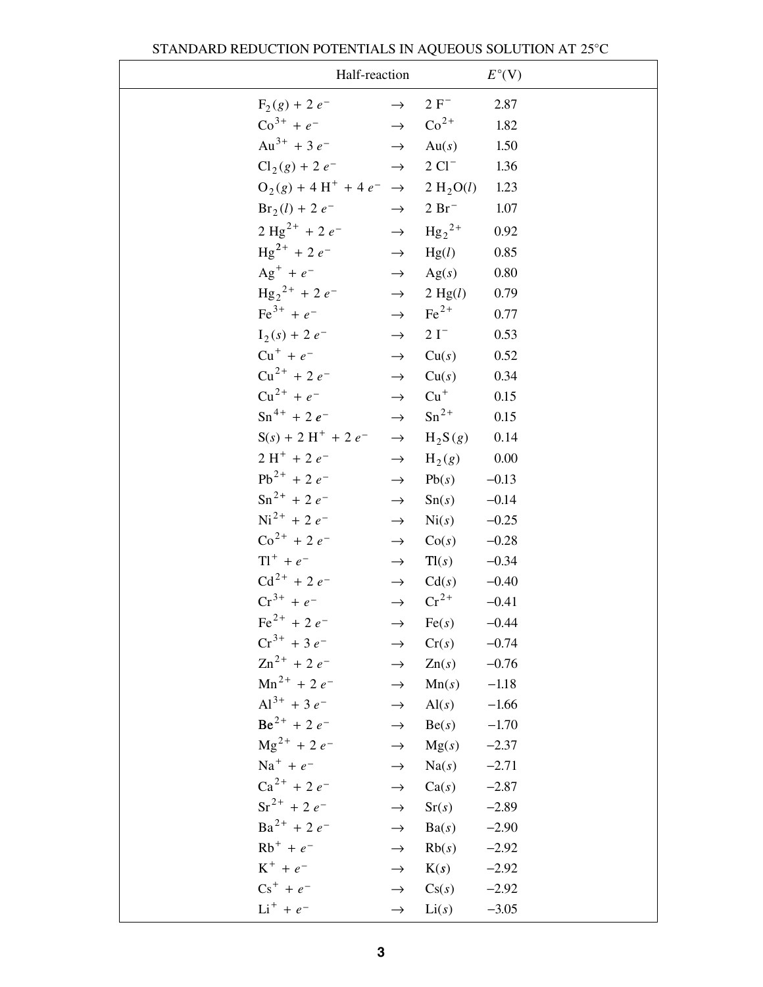|                                                          | Half-reaction                  |                       | $E^{\circ}$ (V) |
|----------------------------------------------------------|--------------------------------|-----------------------|-----------------|
| $F_2(g) + 2e^-$                                          | $\rightarrow$                  | $2 F^-$               | 2.87            |
| $\text{Co}^{3+} + e^ \rightarrow$                        |                                | $\mathrm{Co}^{2+}$    | 1.82            |
| Au <sup>3+</sup> + 3 $e^ \rightarrow$                    |                                | Au(s)                 | 1.50            |
| $Cl_2(g) + 2e^ \rightarrow$                              |                                | $2 \text{ Cl}^-$      | 1.36            |
| $O_2(g) + 4 H^+ + 4 e^- \rightarrow 2 H_2 O(l)$          |                                |                       | 1.23            |
| $Br_2(l) + 2e^-$                                         | $\rightarrow$                  | $2 \,\mathrm{Br}^{-}$ | 1.07            |
| $2 \text{ Hg}^{2+} + 2 e^ \rightarrow \text{ Hg}_2^{2+}$ |                                |                       | 0.92            |
| $\text{Hg}^{2+}$ + 2 $e^-$                               | $\rightarrow$                  | Hg(l)                 | 0.85            |
| $Ag^+ + e^ \rightarrow$                                  |                                | Ag(s)                 | 0.80            |
| $\text{Hg}_{2}^{2+}$ + 2 $e^{-}$ $\rightarrow$           |                                | 2 Hg(l)               | 0.79            |
| $\text{Fe}^{3+} + e^{-}$                                 | $\rightarrow$ Fe <sup>2+</sup> |                       | 0.77            |
| $I_2(s) + 2e^{-t}$                                       | $\rightarrow$                  | $2I^-$                | 0.53            |
| $Cu^{+} + e^{-}$                                         | $\rightarrow$                  | Cu(s)                 | 0.52            |
| $Cu^{2+}$ + 2 $e^-$                                      |                                | $\rightarrow$ Cu(s)   | 0.34            |
| $Cu^{2+} + e^{-}$ $\rightarrow$ $Cu^{+}$                 |                                |                       | 0.15            |
| $\text{Sn}^{4+} + 2e^{-}$                                | $\rightarrow$                  | $\mathrm{Sn}^{2+}$    | 0.15            |
| $S(s) + 2H^+ + 2e^ \rightarrow$                          |                                | $H_2S(g)$             | 0.14            |
| $2H^+ + 2e^-$                                            | $\rightarrow$                  | $H_2(g)$              | $0.00\,$        |
| $Pb^{2+} + 2e^{-}$                                       | $\rightarrow$                  | Pb(s)                 | $-0.13$         |
| $\text{Sn}^{2+}$ + 2 $e^{-}$                             | $\rightarrow$                  | Sn(s)                 | $-0.14$         |
| $\mathrm{Ni}^{2+}$ + 2 $e^{-}$                           | $\rightarrow$                  | $\mathrm{Ni}(s)$      | $-0.25$         |
| $\text{Co}^{2+}$ + 2 $e^{-}$                             | $\rightarrow$                  | Co(s)                 | $-0.28$         |
| $Tl^+ + e^ \longrightarrow$                              |                                | Tl(s)                 | $-0.34$         |
| $Cd^{2+} + 2e^{-}$                                       |                                | $\rightarrow$ Cd(s)   | $-0.40$         |
| $Cr^{3+} + e^{-}$                                        | $\rightarrow$                  | $\mathrm{Cr}^{2+}$    | $-0.41$         |
| $\text{Fe}^{2+}$ + 2 $e^{-}$                             | $\rightarrow$                  | Fe(s)                 | $-0.44$         |
| $Cr^{3+}$ + 3 e <sup>-</sup>                             | $\rightarrow$                  | Cr(s)                 | $-0.74$         |
| $\text{Zn}^{2+}$ + 2 $e^-$                               | $\rightarrow$                  | $\text{Zn}(s)$        | $-0.76$         |
| $Mn^{2+}$ + 2 $e^-$                                      | $\rightarrow$                  | Mn(s)                 | $-1.18$         |
| $Al^{3+}$ + 3 e <sup>-</sup>                             | $\rightarrow$                  | $\text{Al}(s)$        | $-1.66$         |
| $Be^{2+}$ + 2 $e^{-}$                                    | $\rightarrow$                  | Be(s)                 | $-1.70$         |
| $\text{Mg}^{2+}$ + 2 $e^-$                               | $\rightarrow$                  | Mg(s)                 | $-2.37$         |
| $Na^{+} + e^{-}$                                         | $\rightarrow$                  | Na(s)                 | $-2.71$         |
| $Ca^{2+} + 2e^{-}$                                       | $\rightarrow$                  | Ca(s)                 | $-2.87$         |
| $\text{Sr}^{2+}$ + 2 e <sup>-1</sup>                     | $\rightarrow$                  | Sr(s)                 | $-2.89$         |
| $Ba^{2+} + 2e^{-}$                                       | $\rightarrow$                  | Ba(s)                 | $-2.90$         |
| $Rb^{+} + e^{-}$                                         | $\rightarrow$                  | Rb(s)                 | $-2.92$         |
| $K^+ + e^-$                                              | $\rightarrow$                  | K(s)                  | $-2.92$         |
| $Cs^{+} + e^{-}$                                         | $\rightarrow$                  | Cs(s)                 | $-2.92$         |
| $Li^{+} + e^{-}$                                         | $\rightarrow$                  | Li(s)                 | $-3.05$         |

### STANDARD REDUCTION POTENTIALS IN AQUEOUS SOLUTION AT 25°C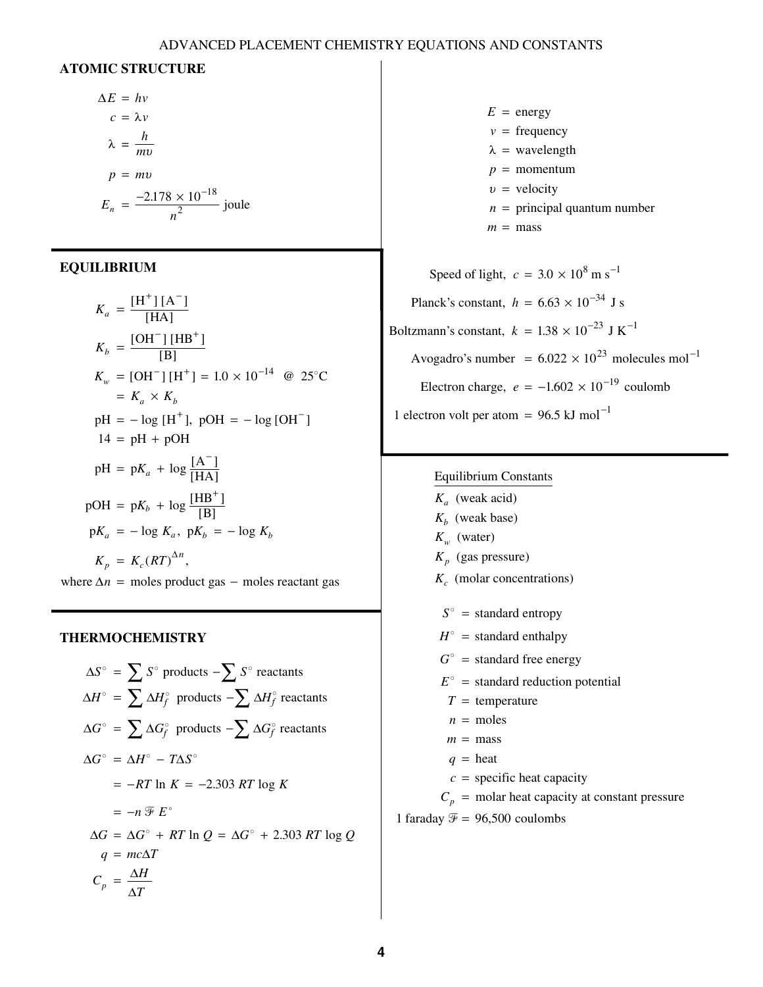### ADVANCED PLACEMENT CHEMISTRY EQUATIONS AND CONSTANTS

### **ATOMIC STRUCTURE**

$$
\Delta E = hv
$$
  
\n
$$
c = \lambda v
$$
  
\n
$$
\lambda = \frac{h}{mv}
$$
  
\n
$$
p = mv
$$
  
\n
$$
E_n = \frac{-2.178 \times 10^{-18}}{n^2} \text{ joule}
$$

### **EQUILIBRIUM**

$$
K_a = \frac{[H^+][A^-]}{[HA]}
$$
  
\n
$$
K_b = \frac{[OH^-][HB^+]}{[B]}
$$
  
\n
$$
K_w = [OH^-][H^+] = 1.0 \times 10^{-14} \text{ @ } 25^{\circ}\text{C}
$$
  
\n
$$
= K_a \times K_b
$$
  
\n
$$
pH = -\log [H^+], \text{ pOH} = -\log [OH^-]
$$
  
\n
$$
14 = pH + pOH
$$
  
\n
$$
pH = pK_a + \log \frac{[A^-]}{[HA]}
$$
  
\n
$$
pOH = pK_b + \log \frac{[HB^+]}{[B]}
$$
  
\n
$$
pK_a = -\log K_a, \text{ } pK_b = -\log K_b
$$
  
\n
$$
K_p = K_c (RT)^{\Delta n},
$$
  
\nwhere  $\Delta n$  = moles product gas - moles reactant gas

### **THERMOCHEMISTRY**

$$
\Delta S^{\circ} = \sum S^{\circ} \text{ products } -\sum S^{\circ} \text{ reactants}
$$
  
\n
$$
\Delta H^{\circ} = \sum \Delta H^{\circ} \text{ products } -\sum \Delta H^{\circ} \text{ reactants}
$$
  
\n
$$
\Delta G^{\circ} = \sum \Delta G^{\circ} \text{ products } -\sum \Delta G^{\circ} \text{ reactants}
$$
  
\n
$$
\Delta G^{\circ} = \Delta H^{\circ} - T\Delta S^{\circ}
$$
  
\n
$$
= -RT \ln K = -2.303 RT \log K
$$
  
\n
$$
= -n \mathcal{F} E^{\circ}
$$
  
\n
$$
\Delta G = \Delta G^{\circ} + RT \ln Q = \Delta G^{\circ} + 2.303 RT \log Q
$$
  
\n
$$
q = mc\Delta T
$$
  
\n
$$
C_p = \frac{\Delta H}{\Delta T}
$$

 $E =$  energy  $v = \text{frequency}$  $p =$  momentum *n* = principal quantum number  $m = \text{mass}$  $\lambda$  = wavelength  $v =$  velocity

Speed of light,  $c = 3.0 \times 10^8$  m s<sup>-1</sup> Planck's constant,  $h = 6.63 \times 10^{-34}$  J s Boltzmann's constant,  $k = 1.38 \times 10^{-23}$  J K<sup>-1</sup> Avogadro's number =  $6.022 \times 10^{23}$  molecules mol<sup>-1</sup> Electron charge,  $e = -1.602 \times 10^{-19}$  coulomb 1 electron volt per atom =  $96.5$  kJ mol<sup>-1</sup>

#### Equilibrium Constants

(weak acid) *K a*  $K_b$  (weak base)  $K_w$  (water) (gas pressure) *K p* (molar concentrations) *K c*  $S^{\circ}$  = standard entropy  $H^{\circ}$  = standard enthalpy  $G^{\circ}$  = standard free energy  $E^{\circ}$  = standard reduction potential  $T =$  temperature  $n =$  moles  $m = \text{mass}$  $q =$  heat  $c =$  specific heat capacity  $C_p$  = molar heat capacity at constant pressure

1 faraday  $\mathcal{F} = 96,500$  coulombs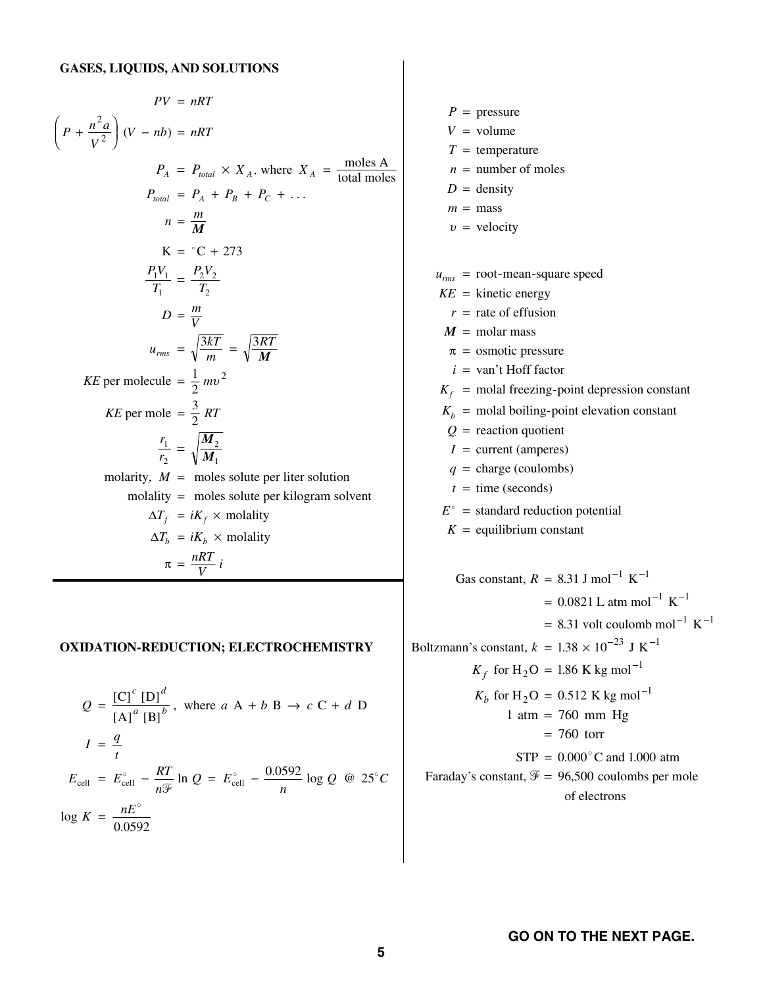$$
PV = nRT
$$
\n
$$
\left(P + \frac{n^2 a}{V^2}\right)(V - nb) = nRT
$$
\n
$$
P_A = P_{total} \times X_A, \text{ where } X_A = \frac{\text{moles A}}{\text{total moles}}
$$
\n
$$
P_{total} = P_A + P_B + P_C + \dots
$$
\n
$$
n = \frac{m}{M}
$$
\n
$$
K = {}^{\circ}C + 273
$$
\n
$$
\frac{P_1 V_1}{T_1} = \frac{P_2 V_2}{T_2}
$$
\n
$$
D = \frac{m}{V}
$$
\n
$$
u_{rms} = \sqrt{\frac{3kT}{M}} = \sqrt{\frac{3RT}{M}}
$$
\n
$$
KE \text{ per molecule } = \frac{1}{2} m v^2
$$
\n
$$
KE \text{ per molecul } = \frac{3}{2} RT
$$
\n
$$
\frac{r_1}{r_2} = \sqrt{\frac{M_2}{M_1}}
$$
\n
$$
\text{molarity}, M = \text{moles solute per liter solution}
$$
\n
$$
\text{molarity} = \text{moles solute per kilogram solvent}
$$
\n
$$
\Delta T_f = iK_f \times \text{molality}
$$
\n
$$
\pi = \frac{nRT}{V} i
$$

#### **OXIDATION-REDUCTION; ELECTROCHEMISTRY**

$$
Q = \frac{[C]^c [D]^d}{[A]^a [B]^b}, \text{ where } a A + b B \rightarrow c C + d D
$$
  

$$
I = \frac{q}{t}
$$
  

$$
E_{cell} = E_{cell}^{\circ} - \frac{RT}{n\mathcal{F}} \ln Q = E_{cell}^{\circ} - \frac{0.0592}{n} \log Q \text{ @ } 25^{\circ}C
$$
  

$$
\log K = \frac{nE^{\circ}}{0.0592}
$$

 $P =$  pressure  $V =$  volume  $T =$  temperature *n* = number of moles  $D =$  density  $m = \text{mass}$  $v =$  velocity  $u_{rms}$  = root-mean-square speed  $KE =$  kinetic energy *r* = rate of effusion *i* = van't Hoff factor  $K_f$  = molal freezing-point depression constant  $K_b$  = molal boiling-point elevation constant *Q* = reaction quotient  $I =$  current (amperes)  $q = \text{charge}$  (coulombs)  $t =$  time (seconds)  $E^{\circ}$  = standard reduction potential  $K =$  equilibrium constant  $M = \text{molar mass}$  $\pi$  = osmotic pressure Gas constant,  $R = 8.31$  J mol<sup>-1</sup> K<sup>-1</sup>  $= 0.0821$  L atm mol<sup>-1</sup> K  $= 8.31$  volt coulomb mol<sup>-1</sup> K<sup>-1</sup> Boltzmann's constant,  $k = 1.38 \times 10^{-23}$  J K<sup>-1</sup>  $K_f$  for H<sub>2</sub>O = 1.86 K kg mol<sup>-1</sup>  $K_b$  for H<sub>2</sub>O = 0.512 K kg mol<sup>-1</sup>  $STP = 0.000^{\circ}$ C and 1.000 atm Faraday's constant,  $\mathcal{F} = 96,500$  coulombs per mole of electrons  $1 atm = 760 mm Hg$  $= 760$  torr - - $-1$ atm mol<sup>-</sup><br>coulomb  $0.0821$  L atm mol<sup>-1</sup> K<sup>-1</sup>  $1.38 \times 10^{-23}$  J K<sup>-1</sup>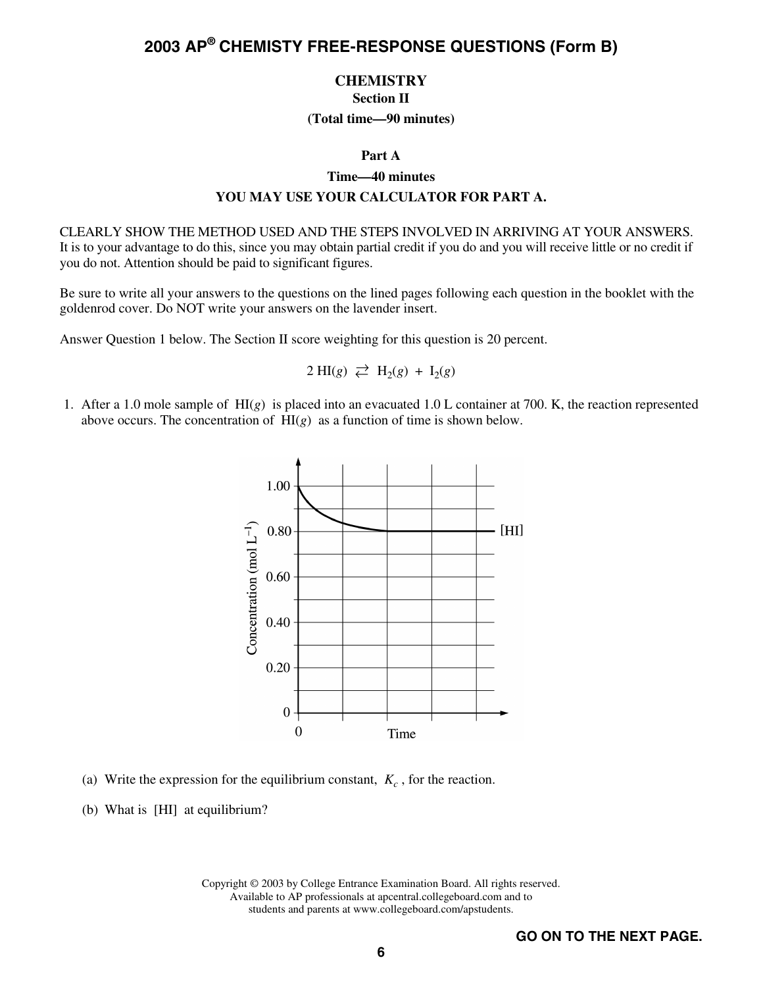### **CHEMISTRY Section II**

### **(Total time—90 minutes)**

#### **Part A**

### **Time—40 minutes**

### **YOU MAY USE YOUR CALCULATOR FOR PART A.**

CLEARLY SHOW THE METHOD USED AND THE STEPS INVOLVED IN ARRIVING AT YOUR ANSWERS. It is to your advantage to do this, since you may obtain partial credit if you do and you will receive little or no credit if you do not. Attention should be paid to significant figures.

Be sure to write all your answers to the questions on the lined pages following each question in the booklet with the goldenrod cover. Do NOT write your answers on the lavender insert.

Answer Question 1 below. The Section II score weighting for this question is 20 percent.

$$
2 \text{ HI}(g) \rightleftarrows H_2(g) + I_2(g)
$$

 1. After a 1.0 mole sample of HI(*g*) is placed into an evacuated 1.0 L container at 700. K, the reaction represented above occurs. The concentration of  $H1(g)$  as a function of time is shown below.



- (a) Write the expression for the equilibrium constant,  $K_c$ , for the reaction.
- (b) What is [HI] at equilibrium?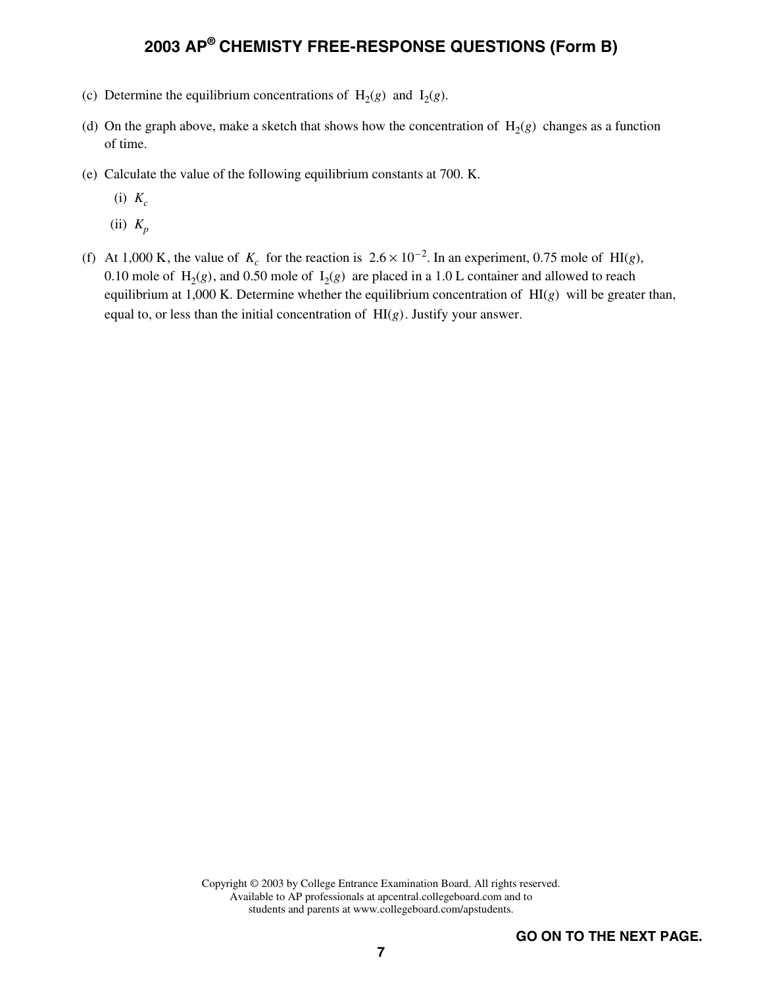- (c) Determine the equilibrium concentrations of  $H_2(g)$  and  $I_2(g)$ .
- (d) On the graph above, make a sketch that shows how the concentration of  $H_2(g)$  changes as a function of time.
- (e) Calculate the value of the following equilibrium constants at 700. K.
	- $(i)$   $K_c$
	- (ii) *Kp*
- (f) At 1,000 K, the value of  $K_c$  for the reaction is  $2.6 \times 10^{-2}$ . In an experiment, 0.75 mole of HI(*g*), 0.10 mole of  $H_2(g)$ , and 0.50 mole of  $I_2(g)$  are placed in a 1.0 L container and allowed to reach equilibrium at 1,000 K. Determine whether the equilibrium concentration of HI(*g*) will be greater than, equal to, or less than the initial concentration of HI(*g*). Justify your answer.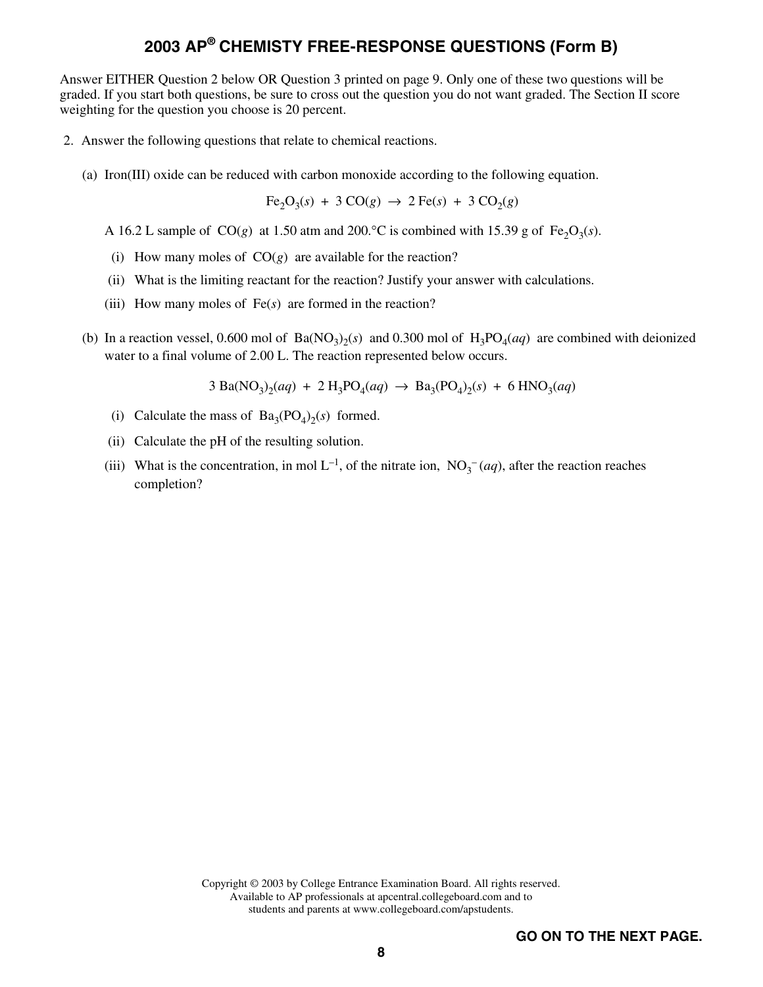Answer EITHER Question 2 below OR Question 3 printed on page 9. Only one of these two questions will be graded. If you start both questions, be sure to cross out the question you do not want graded. The Section II score weighting for the question you choose is 20 percent.

- 2. Answer the following questions that relate to chemical reactions.
	- (a) Iron(III) oxide can be reduced with carbon monoxide according to the following equation.

 $Fe_2O_3(s) + 3 CO(g) \rightarrow 2 Fe(s) + 3 CO_2(g)$ 

A 16.2 L sample of CO(g) at 1.50 atm and 200.<sup>o</sup>C is combined with 15.39 g of Fe<sub>2</sub>O<sub>3</sub>(s).

- (i) How many moles of  $CO(g)$  are available for the reaction?
- (ii) What is the limiting reactant for the reaction? Justify your answer with calculations.
- (iii) How many moles of Fe(*s*) are formed in the reaction?
- (b) In a reaction vessel, 0.600 mol of  $Ba(NO_3)_2(s)$  and 0.300 mol of  $H_3PO_4(aq)$  are combined with deionized water to a final volume of 2.00 L. The reaction represented below occurs.

$$
3 \text{ Ba}(\text{NO}_3)_2(aq) + 2 \text{ H}_3\text{PO}_4(aq) \rightarrow \text{Ba}_3(\text{PO}_4)_2(s) + 6 \text{ HNO}_3(aq)
$$

- (i) Calculate the mass of  $Ba_3(PO_4)_2(s)$  formed.
- (ii) Calculate the pH of the resulting solution.
- (iii) What is the concentration, in mol  $L^{-1}$ , of the nitrate ion,  $NO_3^-$  (*aq*), after the reaction reaches completion?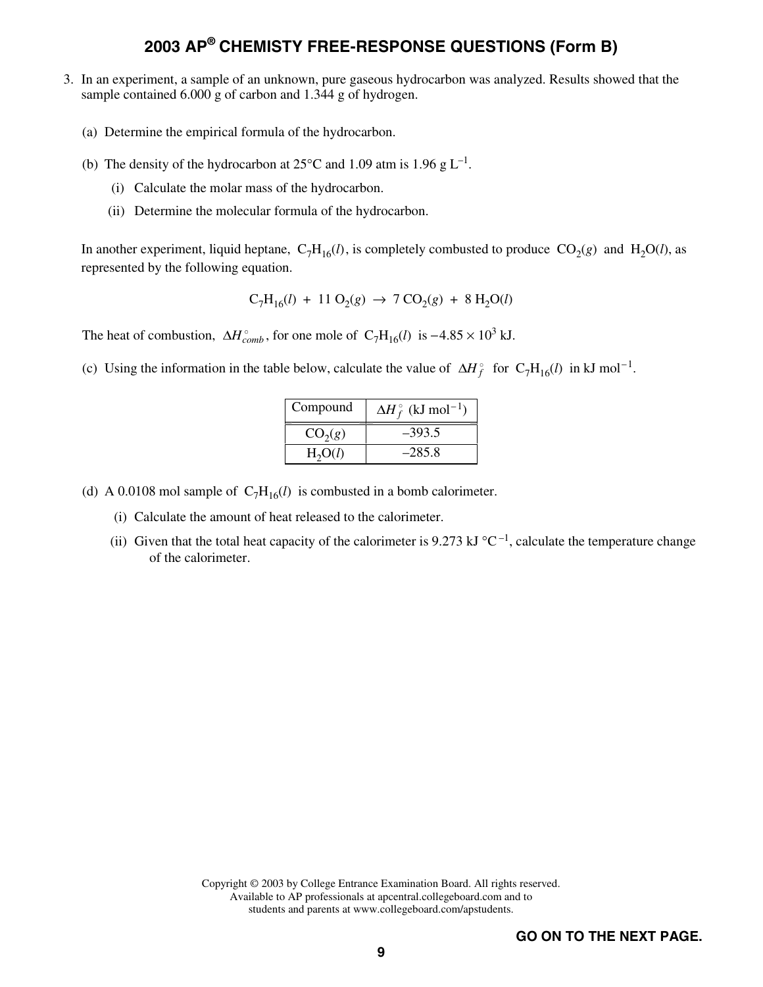- 3. In an experiment, a sample of an unknown, pure gaseous hydrocarbon was analyzed. Results showed that the sample contained 6.000 g of carbon and 1.344 g of hydrogen.
	- (a) Determine the empirical formula of the hydrocarbon.
	- (b) The density of the hydrocarbon at  $25^{\circ}$ C and 1.09 atm is 1.96 g L<sup>-1</sup>.
		- (i) Calculate the molar mass of the hydrocarbon.
		- (ii) Determine the molecular formula of the hydrocarbon.

In another experiment, liquid heptane,  $C_7H_{16}(l)$ , is completely combusted to produce  $CO_2(g)$  and  $H_2O(l)$ , as represented by the following equation.

$$
C_7H_{16}(l) + 11 O_2(g) \rightarrow 7 CO_2(g) + 8 H_2O(l)
$$

The heat of combustion,  $\Delta H_{comb}^{\circ}$ , for one mole of  $C_7H_{16}(l)$  is  $-4.85 \times 10^3$  kJ.

(c) Using the information in the table below, calculate the value of  $\Delta H_f^{\circ}$  for  $C_7H_{16}(l)$  in kJ mol<sup>-1</sup>.

| Compound            | $\Delta H_f^{\circ}$ (kJ mol <sup>-1</sup> ) |
|---------------------|----------------------------------------------|
| CO <sub>2</sub> (g) | $-393.5$                                     |
| H <sub>2</sub> O(l) | $-285.8$                                     |

(d) A 0.0108 mol sample of  $C_7H_{16}(l)$  is combusted in a bomb calorimeter.

- (i) Calculate the amount of heat released to the calorimeter.
- (ii) Given that the total heat capacity of the calorimeter is 9.273 kJ  $^{\circ}C^{-1}$ , calculate the temperature change of the calorimeter.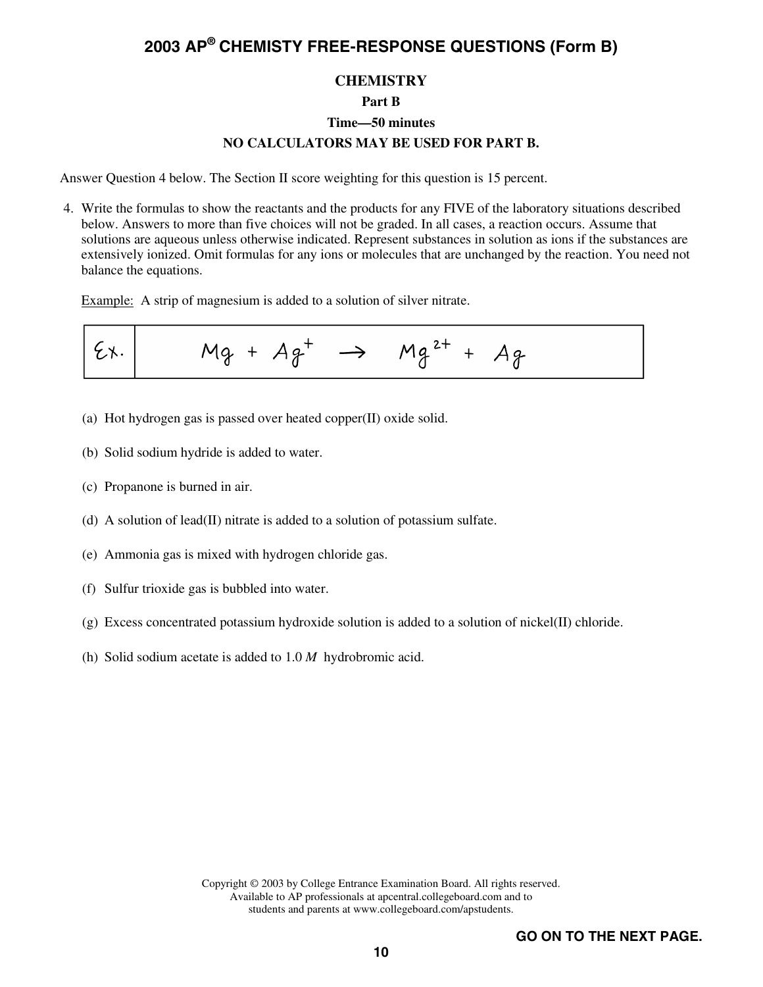### **CHEMISTRY**

### **Part B**

#### **Time—50 minutes**

### **NO CALCULATORS MAY BE USED FOR PART B.**

Answer Question 4 below. The Section II score weighting for this question is 15 percent.

 4. Write the formulas to show the reactants and the products for any FIVE of the laboratory situations described below. Answers to more than five choices will not be graded. In all cases, a reaction occurs. Assume that solutions are aqueous unless otherwise indicated. Represent substances in solution as ions if the substances are extensively ionized. Omit formulas for any ions or molecules that are unchanged by the reaction. You need not balance the equations.

Example: A strip of magnesium is added to a solution of silver nitrate.

$$
\mathcal{E} \times \begin{vmatrix} 1 & \mathcal{M} & \mathcal{M} & \mathcal{M} & \mathcal{M} & \mathcal{M} & \mathcal{M} & \mathcal{M} & \mathcal{M} & \mathcal{M} & \mathcal{M} & \mathcal{M} & \mathcal{M} & \mathcal{M} & \mathcal{M} & \mathcal{M} & \mathcal{M} & \mathcal{M} & \mathcal{M} & \mathcal{M} & \mathcal{M} & \mathcal{M} & \mathcal{M} & \mathcal{M} & \mathcal{M} & \mathcal{M} & \mathcal{M} & \mathcal{M} & \mathcal{M} & \mathcal{M} & \mathcal{M} & \mathcal{M} & \mathcal{M} & \mathcal{M} & \mathcal{M} & \mathcal{M} & \mathcal{M} & \mathcal{M} & \mathcal{M} & \mathcal{M} & \mathcal{M} & \mathcal{M} & \mathcal{M} & \mathcal{M} & \mathcal{M} & \mathcal{M} & \mathcal{M} & \mathcal{M} & \mathcal{M} & \mathcal{M} & \mathcal{M} & \mathcal{M} & \mathcal{M} & \mathcal{M} & \mathcal{M} & \mathcal{M} & \mathcal{M} & \mathcal{M} & \mathcal{M} & \mathcal{M} & \mathcal{M} & \mathcal{M} & \mathcal{M} & \mathcal{M} & \mathcal{M} & \mathcal{M} & \mathcal{M} & \mathcal{M} & \mathcal{M} & \mathcal{M} & \mathcal{M} & \mathcal{M} & \mathcal{M} & \mathcal{M} & \mathcal{M} & \mathcal{M} & \mathcal{M} & \mathcal{M} & \mathcal{M} & \mathcal{M} & \mathcal{M} & \mathcal{M} & \mathcal{M} & \mathcal{M} & \mathcal{M} & \mathcal{M} & \mathcal{M} & \mathcal{M} & \mathcal{M} & \mathcal{M} & \mathcal{M} & \mathcal{M} & \mathcal{M} & \mathcal{M} & \mathcal{M} & \mathcal{M} & \mathcal{M} & \mathcal{M} & \mathcal{M} & \mathcal{M} & \mathcal{M} & \mathcal{M} & \mathcal{M} & \mathcal{M} & \mathcal{M} & \mathcal{M} & \mathcal{M} & \
$$

- (a) Hot hydrogen gas is passed over heated copper(II) oxide solid.
- (b) Solid sodium hydride is added to water.
- (c) Propanone is burned in air.
- (d) A solution of lead(II) nitrate is added to a solution of potassium sulfate.
- (e) Ammonia gas is mixed with hydrogen chloride gas.
- (f) Sulfur trioxide gas is bubbled into water.
- (g) Excess concentrated potassium hydroxide solution is added to a solution of nickel(II) chloride.
- (h) Solid sodium acetate is added to 1.0 *M* hydrobromic acid.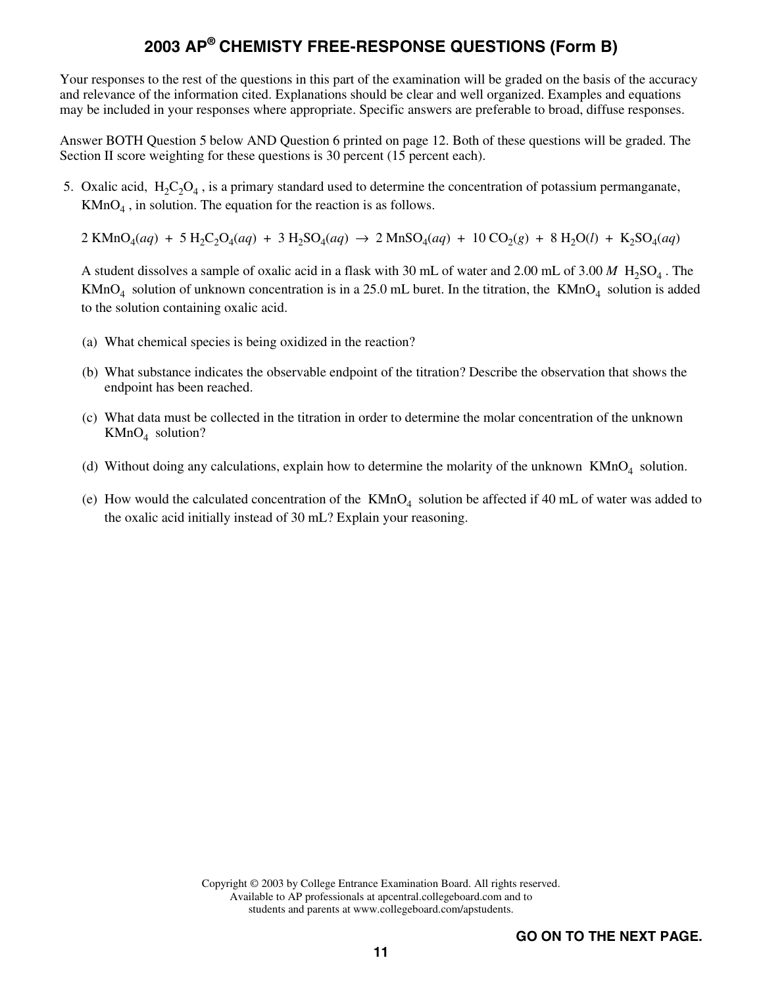Your responses to the rest of the questions in this part of the examination will be graded on the basis of the accuracy and relevance of the information cited. Explanations should be clear and well organized. Examples and equations may be included in your responses where appropriate. Specific answers are preferable to broad, diffuse responses.

Answer BOTH Question 5 below AND Question 6 printed on page 12. Both of these questions will be graded. The Section II score weighting for these questions is 30 percent (15 percent each).

- 5. Oxalic acid,  $H_2C_2O_4$ , is a primary standard used to determine the concentration of potassium permanganate,  $KMnO<sub>4</sub>$ , in solution. The equation for the reaction is as follows.
	- $2$  KMnO<sub>4</sub>(*aq*) + 5 H<sub>2</sub>C<sub>2</sub>O<sub>4</sub>(*aq*) + 3 H<sub>2</sub>SO<sub>4</sub>(*aq*)  $\rightarrow$  2 MnSO<sub>4</sub>(*aq*) + 10 CO<sub>2</sub>(*g*) + 8 H<sub>2</sub>O(*l*) + K<sub>2</sub>SO<sub>4</sub>(*aq*)

A student dissolves a sample of oxalic acid in a flask with 30 mL of water and 2.00 mL of  $3.00 M H_2SO_4$ . The  $KMnO<sub>4</sub>$  solution of unknown concentration is in a 25.0 mL buret. In the titration, the  $KMnO<sub>4</sub>$  solution is added to the solution containing oxalic acid.

- (a) What chemical species is being oxidized in the reaction?
- (b) What substance indicates the observable endpoint of the titration? Describe the observation that shows the endpoint has been reached.
- (c) What data must be collected in the titration in order to determine the molar concentration of the unknown  $KMnO<sub>4</sub>$  solution?
- (d) Without doing any calculations, explain how to determine the molarity of the unknown  $KMD<sub>4</sub>$  solution.
- (e) How would the calculated concentration of the  $KMnO<sub>4</sub>$  solution be affected if 40 mL of water was added to the oxalic acid initially instead of 30 mL? Explain your reasoning.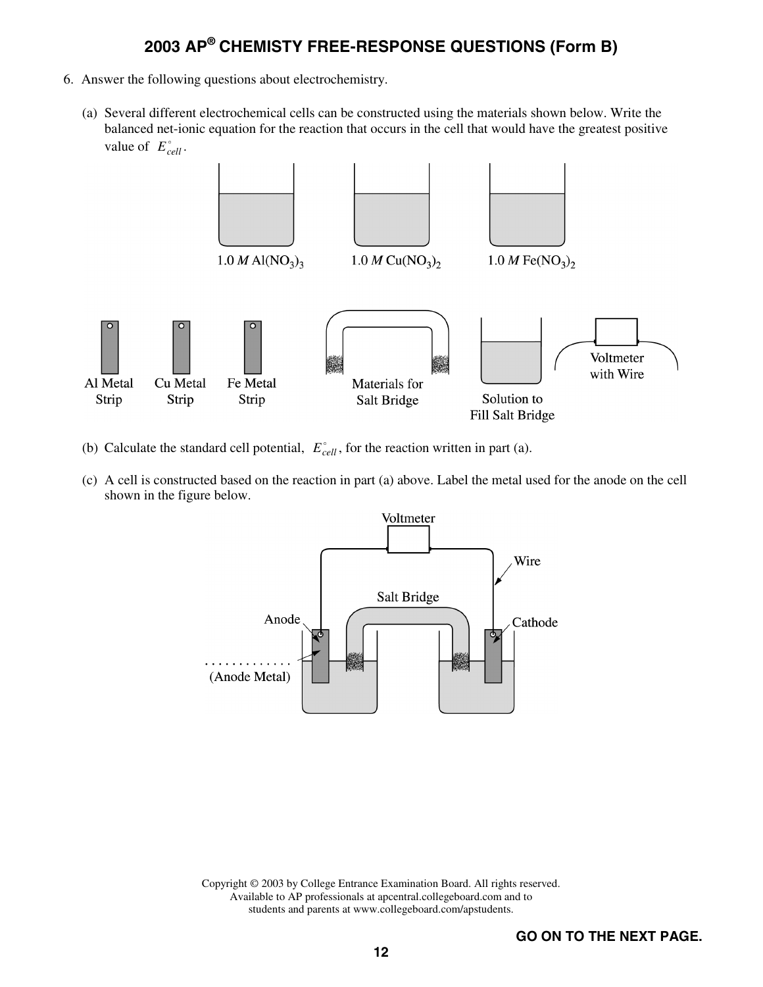- 6. Answer the following questions about electrochemistry.
	- (a) Several different electrochemical cells can be constructed using the materials shown below. Write the balanced net-ionic equation for the reaction that occurs in the cell that would have the greatest positive value of  $E_{cell}^{\circ}$ .



- (b) Calculate the standard cell potential,  $E_{cell}^{\circ}$ , for the reaction written in part (a).
- (c) A cell is constructed based on the reaction in part (a) above. Label the metal used for the anode on the cell shown in the figure below.

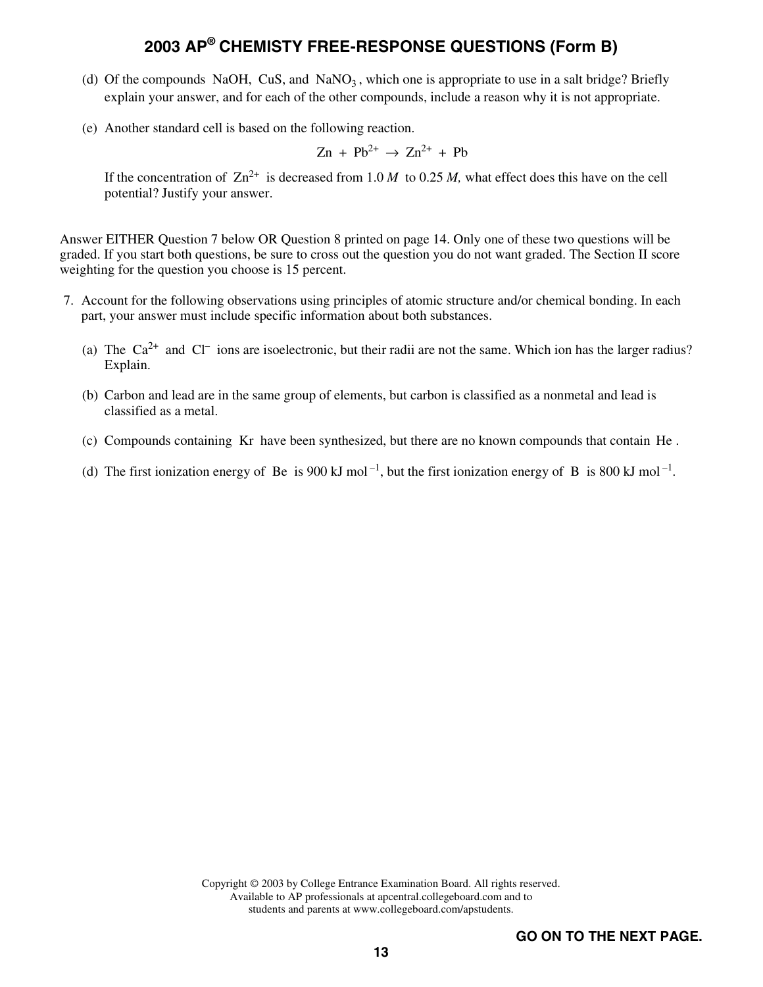- (d) Of the compounds NaOH, CuS, and NaNO<sub>3</sub>, which one is appropriate to use in a salt bridge? Briefly explain your answer, and for each of the other compounds, include a reason why it is not appropriate.
- (e) Another standard cell is based on the following reaction.

$$
Zn + Pb^{2+} \rightarrow Zn^{2+} + Pb
$$

If the concentration of  $\text{Zn}^{2+}$  is decreased from 1.0 *M* to 0.25 *M*, what effect does this have on the cell potential? Justify your answer.

Answer EITHER Question 7 below OR Question 8 printed on page 14. Only one of these two questions will be graded. If you start both questions, be sure to cross out the question you do not want graded. The Section II score weighting for the question you choose is 15 percent.

- 7. Account for the following observations using principles of atomic structure and/or chemical bonding. In each part, your answer must include specific information about both substances.
	- (a) The  $Ca^{2+}$  and  $Cl^-$  ions are isoelectronic, but their radii are not the same. Which ion has the larger radius? Explain.
	- (b) Carbon and lead are in the same group of elements, but carbon is classified as a nonmetal and lead is classified as a metal.
	- (c) Compounds containing Kr have been synthesized, but there are no known compounds that contain He .
	- (d) The first ionization energy of Be is 900 kJ mol<sup>-1</sup>, but the first ionization energy of B is 800 kJ mol<sup>-1</sup>.